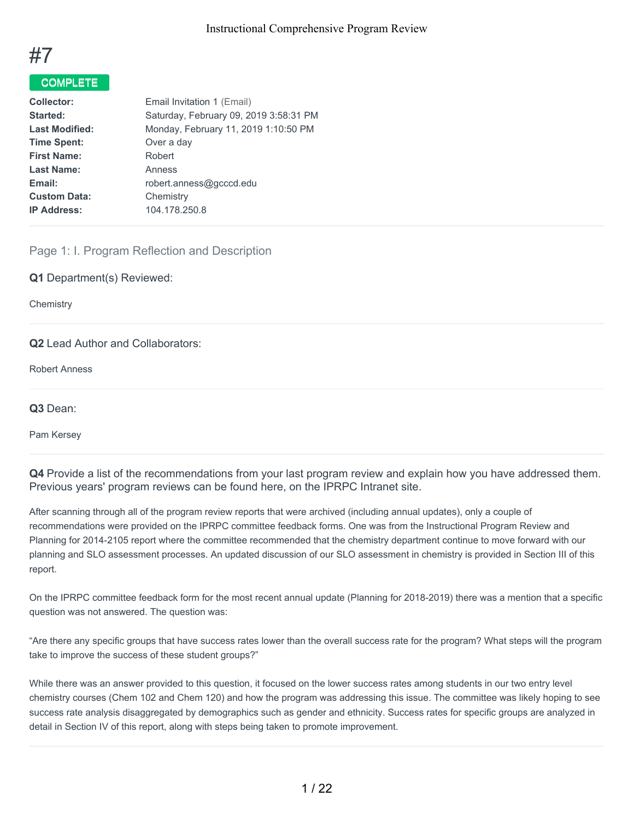

# COMPLETE

| <b>Collector:</b>     | Email Invitation 1 (Email)             |
|-----------------------|----------------------------------------|
| Started:              | Saturday, February 09, 2019 3:58:31 PM |
| <b>Last Modified:</b> | Monday, February 11, 2019 1:10:50 PM   |
| <b>Time Spent:</b>    | Over a day                             |
| <b>First Name:</b>    | Robert                                 |
| <b>Last Name:</b>     | Anness                                 |
| Email:                | robert.anness@gcccd.edu                |
| <b>Custom Data:</b>   | Chemistry                              |
| <b>IP Address:</b>    | 104.178.250.8                          |
|                       |                                        |

# Page 1: I. Program Reflection and Description

**Q1** Department(s) Reviewed:

**Chemistry** 

### **Q2** Lead Author and Collaborators:

Robert Anness

**Q3** Dean:

Pam Kersey

**Q4** Provide a list of the recommendations from your last program review and explain how you have addressed them. Previous years' program reviews can be found here, on the IPRPC Intranet site.

After scanning through all of the program review reports that were archived (including annual updates), only a couple of recommendations were provided on the IPRPC committee feedback forms. One was from the Instructional Program Review and Planning for 2014-2105 report where the committee recommended that the chemistry department continue to move forward with our planning and SLO assessment processes. An updated discussion of our SLO assessment in chemistry is provided in Section III of this report.

On the IPRPC committee feedback form for the most recent annual update (Planning for 2018-2019) there was a mention that a specific question was not answered. The question was:

"Are there any specific groups that have success rates lower than the overall success rate for the program? What steps will the program take to improve the success of these student groups?"

While there was an answer provided to this question, it focused on the lower success rates among students in our two entry level chemistry courses (Chem 102 and Chem 120) and how the program was addressing this issue. The committee was likely hoping to see success rate analysis disaggregated by demographics such as gender and ethnicity. Success rates for specific groups are analyzed in detail in Section IV of this report, along with steps being taken to promote improvement.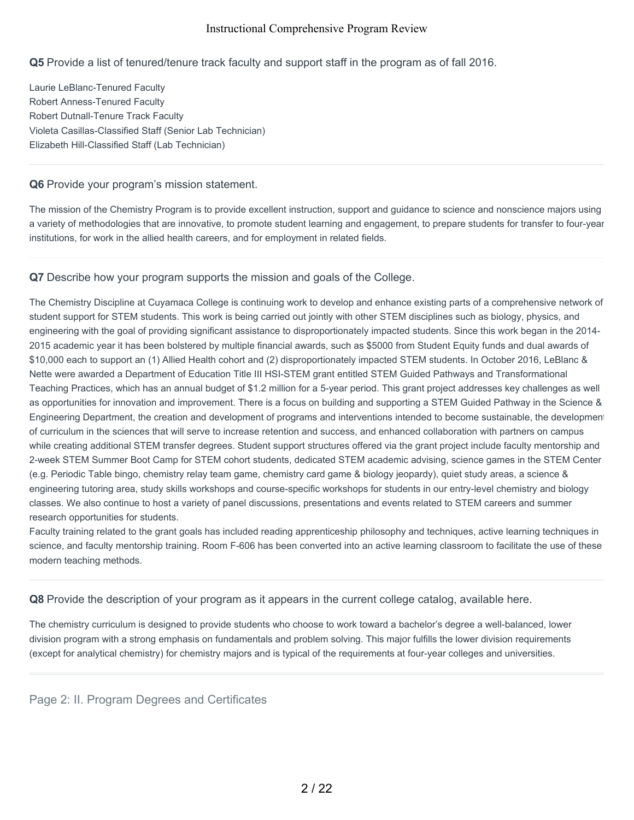## **Q5** Provide a list of tenured/tenure track faculty and support staff in the program as of fall 2016.

Laurie LeBlanc-Tenured Faculty Robert Anness-Tenured Faculty Robert Dutnall-Tenure Track Faculty Violeta Casillas-Classified Staff (Senior Lab Technician) Elizabeth Hill-Classified Staff (Lab Technician)

### **Q6** Provide your program's mission statement.

The mission of the Chemistry Program is to provide excellent instruction, support and guidance to science and nonscience majors using a variety of methodologies that are innovative, to promote student learning and engagement, to prepare students for transfer to four-year institutions, for work in the allied health careers, and for employment in related fields.

### **Q7** Describe how your program supports the mission and goals of the College.

The Chemistry Discipline at Cuyamaca College is continuing work to develop and enhance existing parts of a comprehensive network of student support for STEM students. This work is being carried out jointly with other STEM disciplines such as biology, physics, and engineering with the goal of providing significant assistance to disproportionately impacted students. Since this work began in the 2014- 2015 academic year it has been bolstered by multiple financial awards, such as \$5000 from Student Equity funds and dual awards of \$10,000 each to support an (1) Allied Health cohort and (2) disproportionately impacted STEM students. In October 2016, LeBlanc & Nette were awarded a Department of Education Title III HSI-STEM grant entitled STEM Guided Pathways and Transformational Teaching Practices, which has an annual budget of \$1.2 million for a 5-year period. This grant project addresses key challenges as well as opportunities for innovation and improvement. There is a focus on building and supporting a STEM Guided Pathway in the Science & Engineering Department, the creation and development of programs and interventions intended to become sustainable, the development of curriculum in the sciences that will serve to increase retention and success, and enhanced collaboration with partners on campus while creating additional STEM transfer degrees. Student support structures offered via the grant project include faculty mentorship and 2-week STEM Summer Boot Camp for STEM cohort students, dedicated STEM academic advising, science games in the STEM Center (e.g. Periodic Table bingo, chemistry relay team game, chemistry card game & biology jeopardy), quiet study areas, a science & engineering tutoring area, study skills workshops and course-specific workshops for students in our entry-level chemistry and biology classes. We also continue to host a variety of panel discussions, presentations and events related to STEM careers and summer research opportunities for students.

Faculty training related to the grant goals has included reading apprenticeship philosophy and techniques, active learning techniques in science, and faculty mentorship training. Room F-606 has been converted into an active learning classroom to facilitate the use of these modern teaching methods.

**Q8** Provide the description of your program as it appears in the current college catalog, available here.

The chemistry curriculum is designed to provide students who choose to work toward a bachelor's degree a well-balanced, lower division program with a strong emphasis on fundamentals and problem solving. This major fulfills the lower division requirements (except for analytical chemistry) for chemistry majors and is typical of the requirements at four-year colleges and universities.

Page 2: II. Program Degrees and Certificates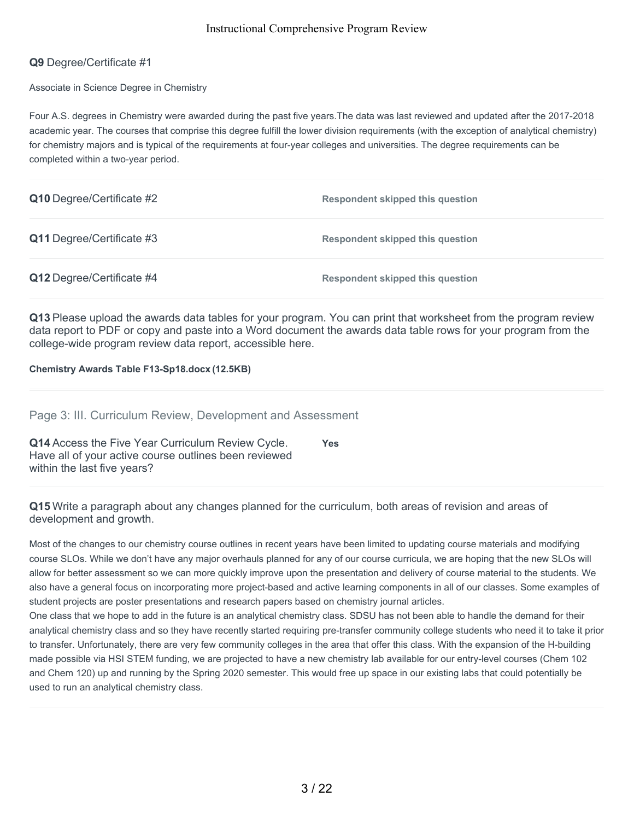## **Q9** Degree/Certificate #1

Associate in Science Degree in Chemistry

Four A.S. degrees in Chemistry were awarded during the past five years.The data was last reviewed and updated after the 2017-2018 academic year. The courses that comprise this degree fulfill the lower division requirements (with the exception of analytical chemistry) for chemistry majors and is typical of the requirements at four-year colleges and universities. The degree requirements can be completed within a two-year period.

| Q10 Degree/Certificate #2 | <b>Respondent skipped this question</b> |
|---------------------------|-----------------------------------------|
| Q11 Degree/Certificate #3 | <b>Respondent skipped this question</b> |
| Q12 Degree/Certificate #4 | <b>Respondent skipped this question</b> |

**Q13** Please upload the awards data tables for your program. You can print that worksheet from the program review data report to PDF or copy and paste into a Word document the awards data table rows for your program from the college-wide program review data report, accessible here.

**Chemistry Awards Table F13-Sp18.docx (12.5KB)**

Page 3: III. Curriculum Review, Development and Assessment

| Q14 Access the Five Year Curriculum Review Cycle.     | <b>Yes</b> |
|-------------------------------------------------------|------------|
| Have all of your active course outlines been reviewed |            |
| within the last five years?                           |            |

**Q15** Write a paragraph about any changes planned for the curriculum, both areas of revision and areas of development and growth.

Most of the changes to our chemistry course outlines in recent years have been limited to updating course materials and modifying course SLOs. While we don't have any major overhauls planned for any of our course curricula, we are hoping that the new SLOs will allow for better assessment so we can more quickly improve upon the presentation and delivery of course material to the students. We also have a general focus on incorporating more project-based and active learning components in all of our classes. Some examples of student projects are poster presentations and research papers based on chemistry journal articles.

One class that we hope to add in the future is an analytical chemistry class. SDSU has not been able to handle the demand for their analytical chemistry class and so they have recently started requiring pre-transfer community college students who need it to take it prior to transfer. Unfortunately, there are very few community colleges in the area that offer this class. With the expansion of the H-building made possible via HSI STEM funding, we are projected to have a new chemistry lab available for our entry-level courses (Chem 102 and Chem 120) up and running by the Spring 2020 semester. This would free up space in our existing labs that could potentially be used to run an analytical chemistry class.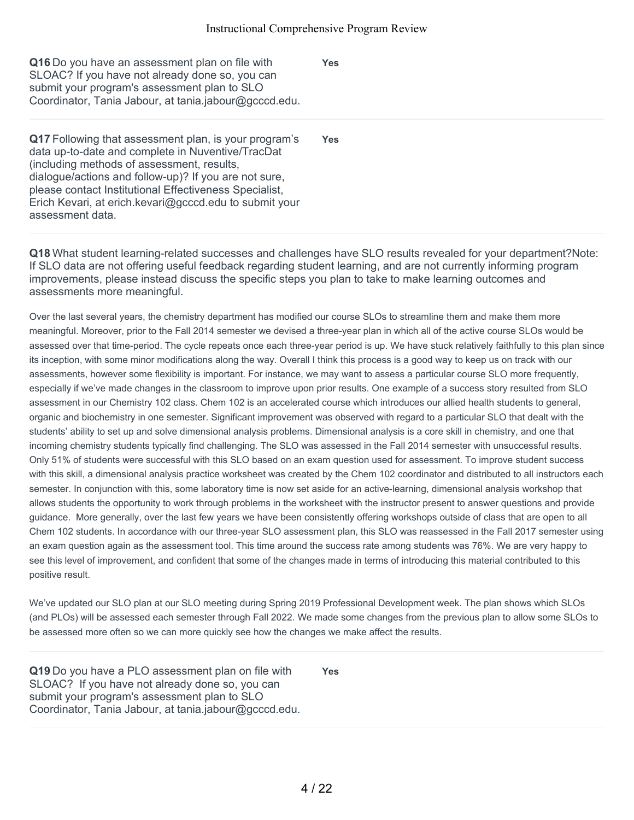**Yes**

**Yes**

| Q16 Do you have an assessment plan on file with       |
|-------------------------------------------------------|
| SLOAC? If you have not already done so, you can       |
| submit your program's assessment plan to SLO          |
| Coordinator, Tania Jabour, at tania.jabour@gcccd.edu. |

**Q17** Following that assessment plan, is your program's data up-to-date and complete in Nuventive/TracDat (including methods of assessment, results, dialogue/actions and follow-up)? If you are not sure, please contact Institutional Effectiveness Specialist, Erich Kevari, at erich.kevari@gcccd.edu to submit your assessment data.

**Q18** What student learning-related successes and challenges have SLO results revealed for your department?Note: If SLO data are not offering useful feedback regarding student learning, and are not currently informing program improvements, please instead discuss the specific steps you plan to take to make learning outcomes and assessments more meaningful.

Over the last several years, the chemistry department has modified our course SLOs to streamline them and make them more meaningful. Moreover, prior to the Fall 2014 semester we devised a three-year plan in which all of the active course SLOs would be assessed over that time-period. The cycle repeats once each three-year period is up. We have stuck relatively faithfully to this plan since its inception, with some minor modifications along the way. Overall I think this process is a good way to keep us on track with our assessments, however some flexibility is important. For instance, we may want to assess a particular course SLO more frequently, especially if we've made changes in the classroom to improve upon prior results. One example of a success story resulted from SLO assessment in our Chemistry 102 class. Chem 102 is an accelerated course which introduces our allied health students to general, organic and biochemistry in one semester. Significant improvement was observed with regard to a particular SLO that dealt with the students' ability to set up and solve dimensional analysis problems. Dimensional analysis is a core skill in chemistry, and one that incoming chemistry students typically find challenging. The SLO was assessed in the Fall 2014 semester with unsuccessful results. Only 51% of students were successful with this SLO based on an exam question used for assessment. To improve student success with this skill, a dimensional analysis practice worksheet was created by the Chem 102 coordinator and distributed to all instructors each semester. In conjunction with this, some laboratory time is now set aside for an active-learning, dimensional analysis workshop that allows students the opportunity to work through problems in the worksheet with the instructor present to answer questions and provide guidance. More generally, over the last few years we have been consistently offering workshops outside of class that are open to all Chem 102 students. In accordance with our three-year SLO assessment plan, this SLO was reassessed in the Fall 2017 semester using an exam question again as the assessment tool. This time around the success rate among students was 76%. We are very happy to see this level of improvement, and confident that some of the changes made in terms of introducing this material contributed to this positive result.

We've updated our SLO plan at our SLO meeting during Spring 2019 Professional Development week. The plan shows which SLOs (and PLOs) will be assessed each semester through Fall 2022. We made some changes from the previous plan to allow some SLOs to be assessed more often so we can more quickly see how the changes we make affect the results.

**Q19** Do you have a PLO assessment plan on file with SLOAC? If you have not already done so, you can submit your program's assessment plan to SLO Coordinator, Tania Jabour, at tania.jabour@gcccd.edu. **Yes**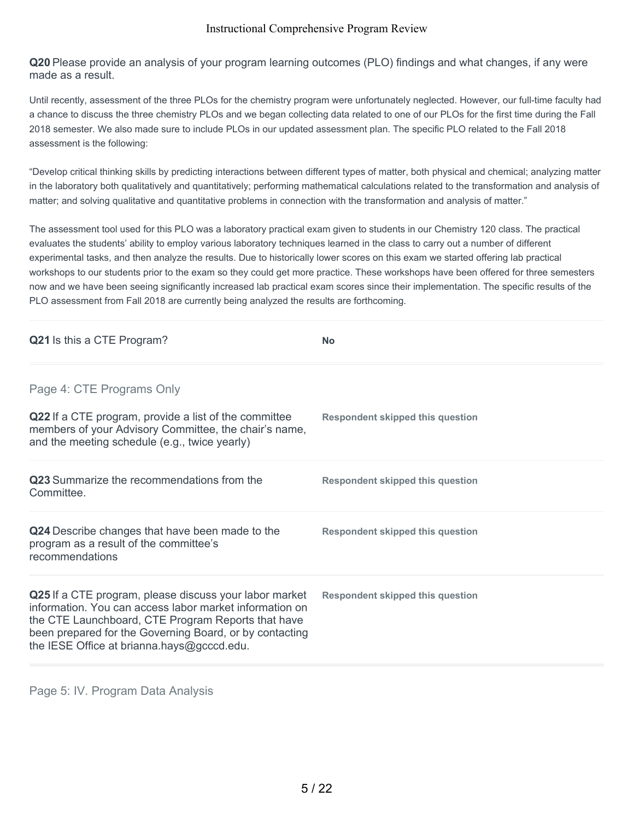**Q20** Please provide an analysis of your program learning outcomes (PLO) findings and what changes, if any were made as a result.

Until recently, assessment of the three PLOs for the chemistry program were unfortunately neglected. However, our full-time faculty had a chance to discuss the three chemistry PLOs and we began collecting data related to one of our PLOs for the first time during the Fall 2018 semester. We also made sure to include PLOs in our updated assessment plan. The specific PLO related to the Fall 2018 assessment is the following:

"Develop critical thinking skills by predicting interactions between different types of matter, both physical and chemical; analyzing matter in the laboratory both qualitatively and quantitatively; performing mathematical calculations related to the transformation and analysis of matter; and solving qualitative and quantitative problems in connection with the transformation and analysis of matter."

The assessment tool used for this PLO was a laboratory practical exam given to students in our Chemistry 120 class. The practical evaluates the students' ability to employ various laboratory techniques learned in the class to carry out a number of different experimental tasks, and then analyze the results. Due to historically lower scores on this exam we started offering lab practical workshops to our students prior to the exam so they could get more practice. These workshops have been offered for three semesters now and we have been seeing significantly increased lab practical exam scores since their implementation. The specific results of the PLO assessment from Fall 2018 are currently being analyzed the results are forthcoming.

| Q21 Is this a CTE Program?                                                                                                                                                                                                                                                       | <b>No</b>                               |
|----------------------------------------------------------------------------------------------------------------------------------------------------------------------------------------------------------------------------------------------------------------------------------|-----------------------------------------|
| Page 4: CTE Programs Only                                                                                                                                                                                                                                                        |                                         |
| Q22 If a CTE program, provide a list of the committee<br>members of your Advisory Committee, the chair's name,<br>and the meeting schedule (e.g., twice yearly)                                                                                                                  | <b>Respondent skipped this question</b> |
| <b>Q23</b> Summarize the recommendations from the<br>Committee.                                                                                                                                                                                                                  | <b>Respondent skipped this question</b> |
| Q24 Describe changes that have been made to the<br>program as a result of the committee's<br>recommendations                                                                                                                                                                     | <b>Respondent skipped this question</b> |
| Q25 If a CTE program, please discuss your labor market<br>information. You can access labor market information on<br>the CTE Launchboard, CTE Program Reports that have<br>been prepared for the Governing Board, or by contacting<br>the IESE Office at brianna.hays@gcccd.edu. | Respondent skipped this question        |

Page 5: IV. Program Data Analysis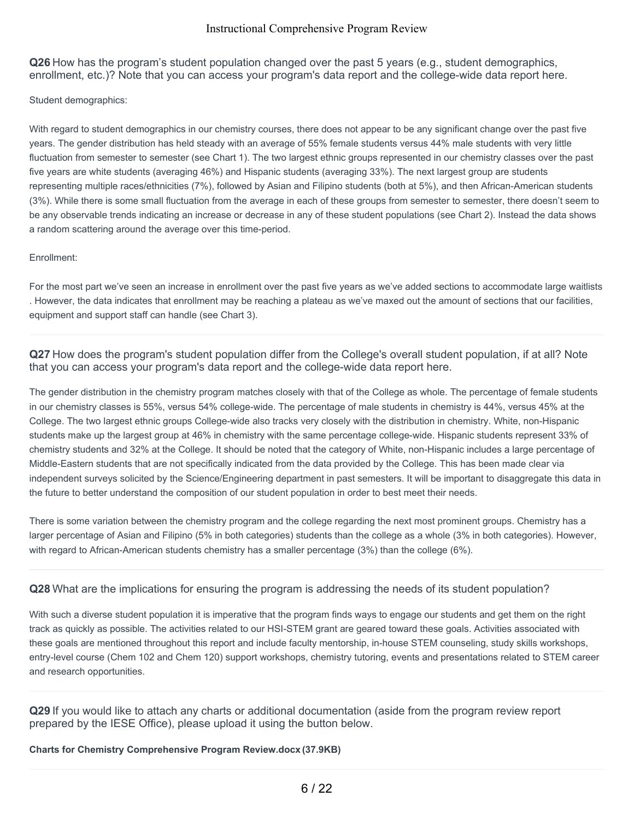**Q26** How has the program's student population changed over the past 5 years (e.g., student demographics, enrollment, etc.)? Note that you can access your program's data report and the college-wide data report here.

Student demographics:

With regard to student demographics in our chemistry courses, there does not appear to be any significant change over the past five years. The gender distribution has held steady with an average of 55% female students versus 44% male students with very little fluctuation from semester to semester (see Chart 1). The two largest ethnic groups represented in our chemistry classes over the past five years are white students (averaging 46%) and Hispanic students (averaging 33%). The next largest group are students representing multiple races/ethnicities (7%), followed by Asian and Filipino students (both at 5%), and then African-American students (3%). While there is some small fluctuation from the average in each of these groups from semester to semester, there doesn't seem to be any observable trends indicating an increase or decrease in any of these student populations (see Chart 2). Instead the data shows a random scattering around the average over this time-period.

#### Enrollment:

For the most part we've seen an increase in enrollment over the past five years as we've added sections to accommodate large waitlists . However, the data indicates that enrollment may be reaching a plateau as we've maxed out the amount of sections that our facilities, equipment and support staff can handle (see Chart 3).

**Q27** How does the program's student population differ from the College's overall student population, if at all? Note that you can access your program's data report and the college-wide data report here.

The gender distribution in the chemistry program matches closely with that of the College as whole. The percentage of female students in our chemistry classes is 55%, versus 54% college-wide. The percentage of male students in chemistry is 44%, versus 45% at the College. The two largest ethnic groups College-wide also tracks very closely with the distribution in chemistry. White, non-Hispanic students make up the largest group at 46% in chemistry with the same percentage college-wide. Hispanic students represent 33% of chemistry students and 32% at the College. It should be noted that the category of White, non-Hispanic includes a large percentage of Middle-Eastern students that are not specifically indicated from the data provided by the College. This has been made clear via independent surveys solicited by the Science/Engineering department in past semesters. It will be important to disaggregate this data in the future to better understand the composition of our student population in order to best meet their needs.

There is some variation between the chemistry program and the college regarding the next most prominent groups. Chemistry has a larger percentage of Asian and Filipino (5% in both categories) students than the college as a whole (3% in both categories). However, with regard to African-American students chemistry has a smaller percentage (3%) than the college (6%).

## **Q28** What are the implications for ensuring the program is addressing the needs of its student population?

With such a diverse student population it is imperative that the program finds ways to engage our students and get them on the right track as quickly as possible. The activities related to our HSI-STEM grant are geared toward these goals. Activities associated with these goals are mentioned throughout this report and include faculty mentorship, in-house STEM counseling, study skills workshops, entry-level course (Chem 102 and Chem 120) support workshops, chemistry tutoring, events and presentations related to STEM career and research opportunities.

**Q29** If you would like to attach any charts or additional documentation (aside from the program review report prepared by the IESE Office), please upload it using the button below.

### **Charts for Chemistry Comprehensive Program Review.docx (37.9KB)**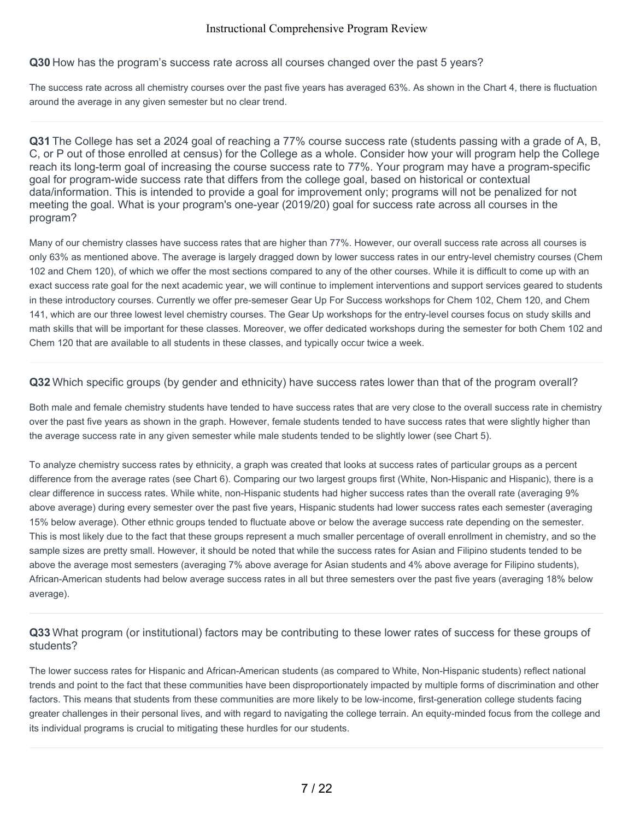### **Q30** How has the program's success rate across all courses changed over the past 5 years?

The success rate across all chemistry courses over the past five years has averaged 63%. As shown in the Chart 4, there is fluctuation around the average in any given semester but no clear trend.

**Q31** The College has set a 2024 goal of reaching a 77% course success rate (students passing with a grade of A, B, C, or P out of those enrolled at census) for the College as a whole. Consider how your will program help the College reach its long-term goal of increasing the course success rate to 77%. Your program may have a program-specific goal for program-wide success rate that differs from the college goal, based on historical or contextual data/information. This is intended to provide a goal for improvement only; programs will not be penalized for not meeting the goal. What is your program's one-year (2019/20) goal for success rate across all courses in the program?

Many of our chemistry classes have success rates that are higher than 77%. However, our overall success rate across all courses is only 63% as mentioned above. The average is largely dragged down by lower success rates in our entry-level chemistry courses (Chem 102 and Chem 120), of which we offer the most sections compared to any of the other courses. While it is difficult to come up with an exact success rate goal for the next academic year, we will continue to implement interventions and support services geared to students in these introductory courses. Currently we offer pre-semeser Gear Up For Success workshops for Chem 102, Chem 120, and Chem 141, which are our three lowest level chemistry courses. The Gear Up workshops for the entry-level courses focus on study skills and math skills that will be important for these classes. Moreover, we offer dedicated workshops during the semester for both Chem 102 and Chem 120 that are available to all students in these classes, and typically occur twice a week.

### **Q32** Which specific groups (by gender and ethnicity) have success rates lower than that of the program overall?

Both male and female chemistry students have tended to have success rates that are very close to the overall success rate in chemistry over the past five years as shown in the graph. However, female students tended to have success rates that were slightly higher than the average success rate in any given semester while male students tended to be slightly lower (see Chart 5).

To analyze chemistry success rates by ethnicity, a graph was created that looks at success rates of particular groups as a percent difference from the average rates (see Chart 6). Comparing our two largest groups first (White, Non-Hispanic and Hispanic), there is a clear difference in success rates. While white, non-Hispanic students had higher success rates than the overall rate (averaging 9% above average) during every semester over the past five years, Hispanic students had lower success rates each semester (averaging 15% below average). Other ethnic groups tended to fluctuate above or below the average success rate depending on the semester. This is most likely due to the fact that these groups represent a much smaller percentage of overall enrollment in chemistry, and so the sample sizes are pretty small. However, it should be noted that while the success rates for Asian and Filipino students tended to be above the average most semesters (averaging 7% above average for Asian students and 4% above average for Filipino students), African-American students had below average success rates in all but three semesters over the past five years (averaging 18% below average).

# **Q33** What program (or institutional) factors may be contributing to these lower rates of success for these groups of students?

The lower success rates for Hispanic and African-American students (as compared to White, Non-Hispanic students) reflect national trends and point to the fact that these communities have been disproportionately impacted by multiple forms of discrimination and other factors. This means that students from these communities are more likely to be low-income, first-generation college students facing greater challenges in their personal lives, and with regard to navigating the college terrain. An equity-minded focus from the college and its individual programs is crucial to mitigating these hurdles for our students.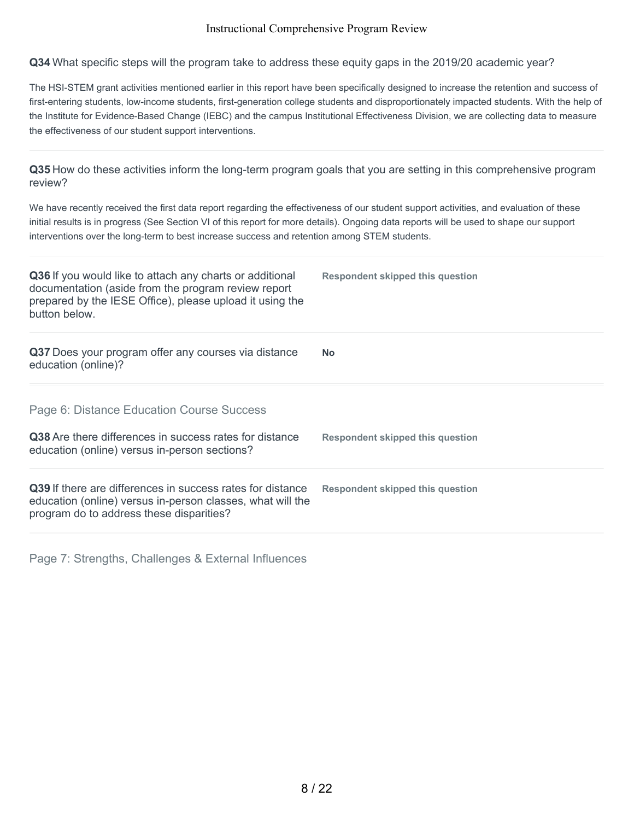**Q34** What specific steps will the program take to address these equity gaps in the 2019/20 academic year?

The HSI-STEM grant activities mentioned earlier in this report have been specifically designed to increase the retention and success of first-entering students, low-income students, first-generation college students and disproportionately impacted students. With the help of the Institute for Evidence-Based Change (IEBC) and the campus Institutional Effectiveness Division, we are collecting data to measure the effectiveness of our student support interventions.

**Q35** How do these activities inform the long-term program goals that you are setting in this comprehensive program review?

We have recently received the first data report regarding the effectiveness of our student support activities, and evaluation of these initial results is in progress (See Section VI of this report for more details). Ongoing data reports will be used to shape our support interventions over the long-term to best increase success and retention among STEM students.

| Q36 If you would like to attach any charts or additional<br>documentation (aside from the program review report<br>prepared by the IESE Office), please upload it using the<br>button below. | Respondent skipped this question        |
|----------------------------------------------------------------------------------------------------------------------------------------------------------------------------------------------|-----------------------------------------|
| Q37 Does your program offer any courses via distance<br>education (online)?                                                                                                                  | <b>No</b>                               |
| Page 6: Distance Education Course Success<br>Q38 Are there differences in success rates for distance<br>education (online) versus in-person sections?                                        | <b>Respondent skipped this question</b> |
| <b>Q39</b> If there are differences in success rates for distance<br>education (online) versus in-person classes, what will the<br>program do to address these disparities?                  | Respondent skipped this question        |

Page 7: Strengths, Challenges & External Influences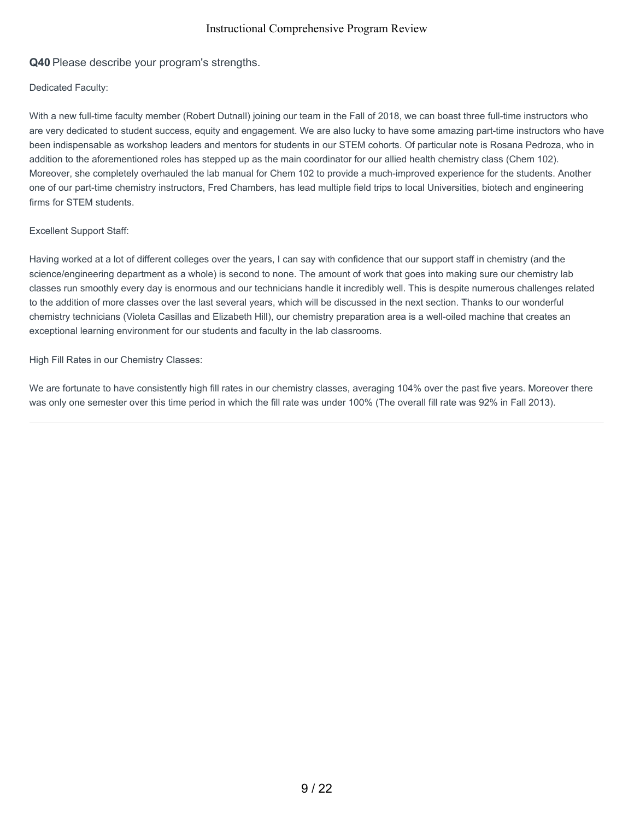## **Q40** Please describe your program's strengths.

#### Dedicated Faculty:

With a new full-time faculty member (Robert Dutnall) joining our team in the Fall of 2018, we can boast three full-time instructors who are very dedicated to student success, equity and engagement. We are also lucky to have some amazing part-time instructors who have been indispensable as workshop leaders and mentors for students in our STEM cohorts. Of particular note is Rosana Pedroza, who in addition to the aforementioned roles has stepped up as the main coordinator for our allied health chemistry class (Chem 102). Moreover, she completely overhauled the lab manual for Chem 102 to provide a much-improved experience for the students. Another one of our part-time chemistry instructors, Fred Chambers, has lead multiple field trips to local Universities, biotech and engineering firms for STEM students.

#### Excellent Support Staff:

Having worked at a lot of different colleges over the years, I can say with confidence that our support staff in chemistry (and the science/engineering department as a whole) is second to none. The amount of work that goes into making sure our chemistry lab classes run smoothly every day is enormous and our technicians handle it incredibly well. This is despite numerous challenges related to the addition of more classes over the last several years, which will be discussed in the next section. Thanks to our wonderful chemistry technicians (Violeta Casillas and Elizabeth Hill), our chemistry preparation area is a well-oiled machine that creates an exceptional learning environment for our students and faculty in the lab classrooms.

#### High Fill Rates in our Chemistry Classes:

We are fortunate to have consistently high fill rates in our chemistry classes, averaging 104% over the past five years. Moreover there was only one semester over this time period in which the fill rate was under 100% (The overall fill rate was 92% in Fall 2013).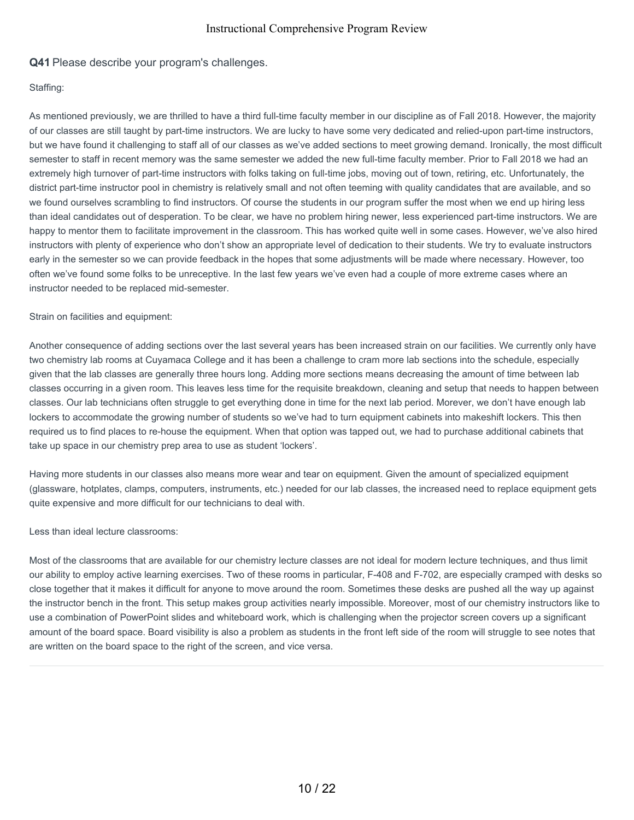### **Q41** Please describe your program's challenges.

#### Staffing:

As mentioned previously, we are thrilled to have a third full-time faculty member in our discipline as of Fall 2018. However, the majority of our classes are still taught by part-time instructors. We are lucky to have some very dedicated and relied-upon part-time instructors, but we have found it challenging to staff all of our classes as we've added sections to meet growing demand. Ironically, the most difficult semester to staff in recent memory was the same semester we added the new full-time faculty member. Prior to Fall 2018 we had an extremely high turnover of part-time instructors with folks taking on full-time jobs, moving out of town, retiring, etc. Unfortunately, the district part-time instructor pool in chemistry is relatively small and not often teeming with quality candidates that are available, and so we found ourselves scrambling to find instructors. Of course the students in our program suffer the most when we end up hiring less than ideal candidates out of desperation. To be clear, we have no problem hiring newer, less experienced part-time instructors. We are happy to mentor them to facilitate improvement in the classroom. This has worked quite well in some cases. However, we've also hired instructors with plenty of experience who don't show an appropriate level of dedication to their students. We try to evaluate instructors early in the semester so we can provide feedback in the hopes that some adjustments will be made where necessary. However, too often we've found some folks to be unreceptive. In the last few years we've even had a couple of more extreme cases where an instructor needed to be replaced mid-semester.

Strain on facilities and equipment:

Another consequence of adding sections over the last several years has been increased strain on our facilities. We currently only have two chemistry lab rooms at Cuyamaca College and it has been a challenge to cram more lab sections into the schedule, especially given that the lab classes are generally three hours long. Adding more sections means decreasing the amount of time between lab classes occurring in a given room. This leaves less time for the requisite breakdown, cleaning and setup that needs to happen between classes. Our lab technicians often struggle to get everything done in time for the next lab period. Morever, we don't have enough lab lockers to accommodate the growing number of students so we've had to turn equipment cabinets into makeshift lockers. This then required us to find places to re-house the equipment. When that option was tapped out, we had to purchase additional cabinets that take up space in our chemistry prep area to use as student 'lockers'.

Having more students in our classes also means more wear and tear on equipment. Given the amount of specialized equipment (glassware, hotplates, clamps, computers, instruments, etc.) needed for our lab classes, the increased need to replace equipment gets quite expensive and more difficult for our technicians to deal with.

Less than ideal lecture classrooms:

Most of the classrooms that are available for our chemistry lecture classes are not ideal for modern lecture techniques, and thus limit our ability to employ active learning exercises. Two of these rooms in particular, F-408 and F-702, are especially cramped with desks so close together that it makes it difficult for anyone to move around the room. Sometimes these desks are pushed all the way up against the instructor bench in the front. This setup makes group activities nearly impossible. Moreover, most of our chemistry instructors like to use a combination of PowerPoint slides and whiteboard work, which is challenging when the projector screen covers up a significant amount of the board space. Board visibility is also a problem as students in the front left side of the room will struggle to see notes that are written on the board space to the right of the screen, and vice versa.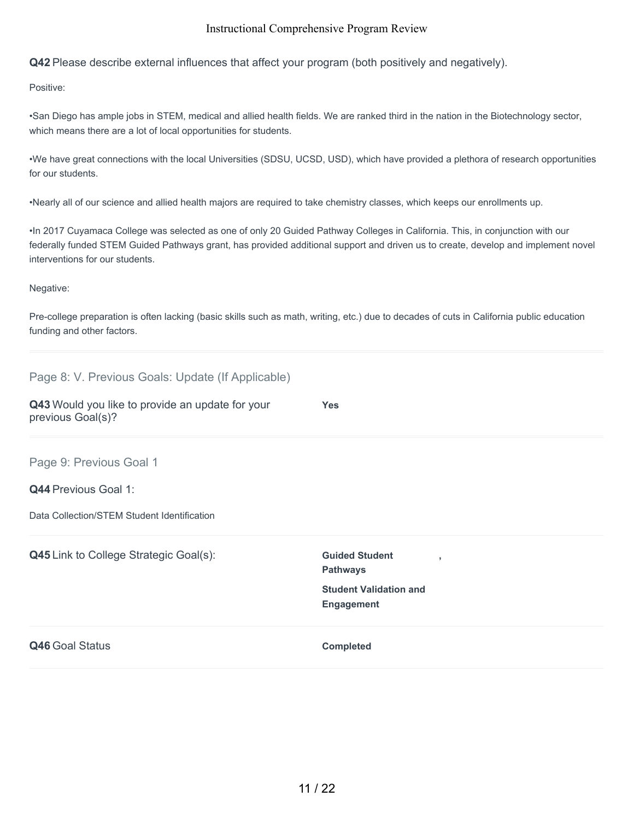**Q42** Please describe external influences that affect your program (both positively and negatively).

Positive:

•San Diego has ample jobs in STEM, medical and allied health fields. We are ranked third in the nation in the Biotechnology sector, which means there are a lot of local opportunities for students.

•We have great connections with the local Universities (SDSU, UCSD, USD), which have provided a plethora of research opportunities for our students.

•Nearly all of our science and allied health majors are required to take chemistry classes, which keeps our enrollments up.

•In 2017 Cuyamaca College was selected as one of only 20 Guided Pathway Colleges in California. This, in conjunction with our federally funded STEM Guided Pathways grant, has provided additional support and driven us to create, develop and implement novel interventions for our students.

Negative:

Page 8: V. Previous Goals: Update (If Applicable)

Pre-college preparation is often lacking (basic skills such as math, writing, etc.) due to decades of cuts in California public education funding and other factors.

| Page 8: V. Previous Goals: Opdate (if Applicable)                     |                                                    |  |
|-----------------------------------------------------------------------|----------------------------------------------------|--|
| Q43 Would you like to provide an update for your<br>previous Goal(s)? | <b>Yes</b>                                         |  |
| Page 9: Previous Goal 1                                               |                                                    |  |
| <b>Q44 Previous Goal 1:</b>                                           |                                                    |  |
| Data Collection/STEM Student Identification                           |                                                    |  |
| <b>Q45</b> Link to College Strategic Goal(s):                         | <b>Guided Student</b><br><b>Pathways</b>           |  |
|                                                                       | <b>Student Validation and</b><br><b>Engagement</b> |  |
| Q46 Goal Status                                                       | <b>Completed</b>                                   |  |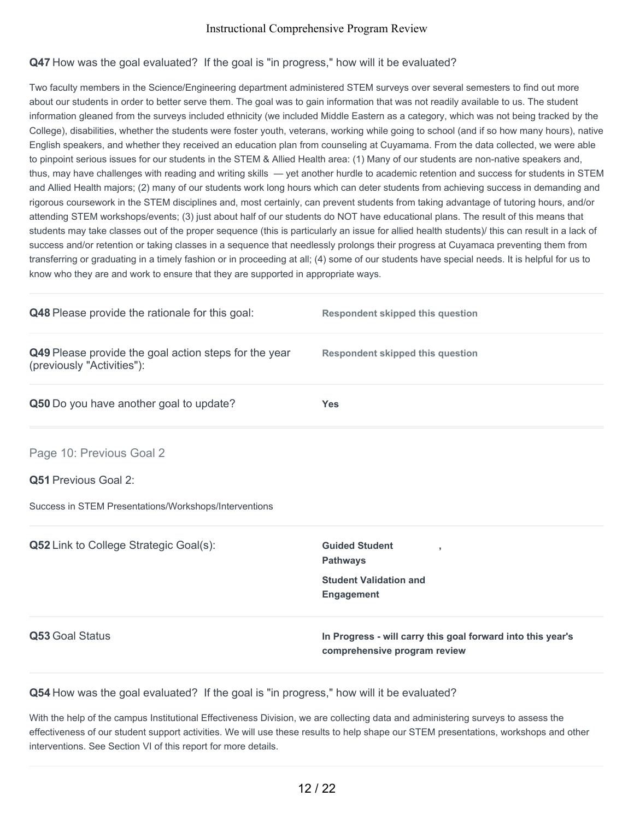# **Q47** How was the goal evaluated? If the goal is "in progress," how will it be evaluated?

Two faculty members in the Science/Engineering department administered STEM surveys over several semesters to find out more about our students in order to better serve them. The goal was to gain information that was not readily available to us. The student information gleaned from the surveys included ethnicity (we included Middle Eastern as a category, which was not being tracked by the College), disabilities, whether the students were foster youth, veterans, working while going to school (and if so how many hours), native English speakers, and whether they received an education plan from counseling at Cuyamama. From the data collected, we were able to pinpoint serious issues for our students in the STEM & Allied Health area: (1) Many of our students are non-native speakers and, thus, may have challenges with reading and writing skills — yet another hurdle to academic retention and success for students in STEM and Allied Health majors; (2) many of our students work long hours which can deter students from achieving success in demanding and rigorous coursework in the STEM disciplines and, most certainly, can prevent students from taking advantage of tutoring hours, and/or attending STEM workshops/events; (3) just about half of our students do NOT have educational plans. The result of this means that students may take classes out of the proper sequence (this is particularly an issue for allied health students)/ this can result in a lack of success and/or retention or taking classes in a sequence that needlessly prolongs their progress at Cuyamaca preventing them from transferring or graduating in a timely fashion or in proceeding at all; (4) some of our students have special needs. It is helpful for us to know who they are and work to ensure that they are supported in appropriate ways.

| Q48 Please provide the rationale for this goal:                                     | <b>Respondent skipped this question</b>                                                             |
|-------------------------------------------------------------------------------------|-----------------------------------------------------------------------------------------------------|
| Q49 Please provide the goal action steps for the year<br>(previously "Activities"): | <b>Respondent skipped this question</b>                                                             |
| Q50 Do you have another goal to update?                                             | <b>Yes</b>                                                                                          |
| Page 10: Previous Goal 2                                                            |                                                                                                     |
| Q51 Previous Goal 2:                                                                |                                                                                                     |
| Success in STEM Presentations/Workshops/Interventions                               |                                                                                                     |
| Q52 Link to College Strategic Goal(s):                                              | <b>Guided Student</b><br>٠<br><b>Pathways</b><br><b>Student Validation and</b><br><b>Engagement</b> |
| Q53 Goal Status                                                                     | In Progress - will carry this goal forward into this year's<br>comprehensive program review         |

**Q54** How was the goal evaluated? If the goal is "in progress," how will it be evaluated?

With the help of the campus Institutional Effectiveness Division, we are collecting data and administering surveys to assess the effectiveness of our student support activities. We will use these results to help shape our STEM presentations, workshops and other interventions. See Section VI of this report for more details.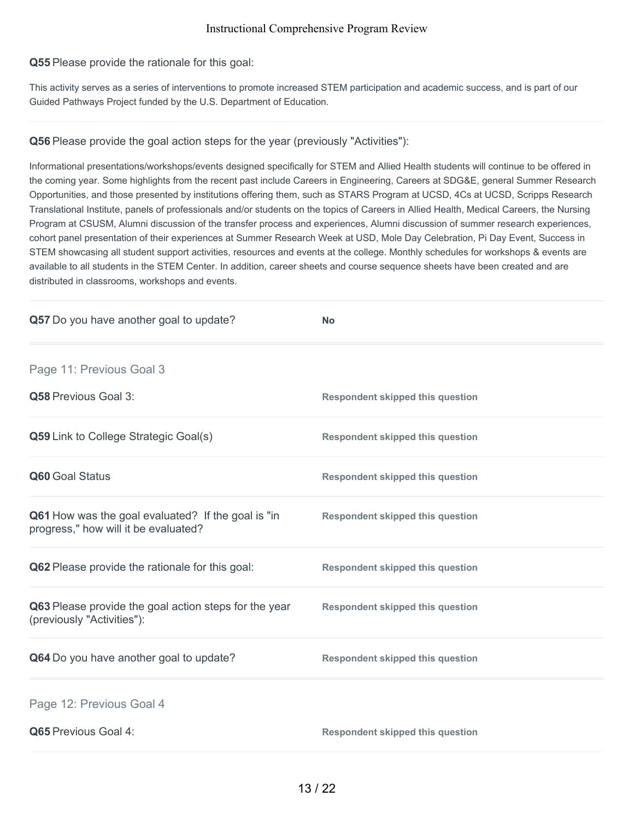### **Q55** Please provide the rationale for this goal:

This activity serves as a series of interventions to promote increased STEM participation and academic success, and is part of our Guided Pathways Project funded by the U.S. Department of Education.

### **Q56** Please provide the goal action steps for the year (previously "Activities"):

Informational presentations/workshops/events designed specifically for STEM and Allied Health students will continue to be offered in the coming year. Some highlights from the recent past include Careers in Engineering, Careers at SDG&E, general Summer Research Opportunities, and those presented by institutions offering them, such as STARS Program at UCSD, 4Cs at UCSD, Scripps Research Translational Institute, panels of professionals and/or students on the topics of Careers in Allied Health, Medical Careers, the Nursing Program at CSUSM, Alumni discussion of the transfer process and experiences, Alumni discussion of summer research experiences, cohort panel presentation of their experiences at Summer Research Week at USD, Mole Day Celebration, Pi Day Event, Success in STEM showcasing all student support activities, resources and events at the college. Monthly schedules for workshops & events are available to all students in the STEM Center. In addition, career sheets and course sequence sheets have been created and are distributed in classrooms, workshops and events.

| Q57 Do you have another goal to update?                                                    | <b>No</b>                               |
|--------------------------------------------------------------------------------------------|-----------------------------------------|
| Page 11: Previous Goal 3                                                                   |                                         |
| Q58 Previous Goal 3:                                                                       | <b>Respondent skipped this question</b> |
| Q59 Link to College Strategic Goal(s)                                                      | <b>Respondent skipped this question</b> |
| Q60 Goal Status                                                                            | <b>Respondent skipped this question</b> |
| Q61 How was the goal evaluated? If the goal is "in<br>progress," how will it be evaluated? | <b>Respondent skipped this question</b> |
| Q62 Please provide the rationale for this goal:                                            | <b>Respondent skipped this question</b> |
| Q63 Please provide the goal action steps for the year<br>(previously "Activities"):        | <b>Respondent skipped this question</b> |
| Q64 Do you have another goal to update?                                                    | <b>Respondent skipped this question</b> |
| Page 12: Previous Goal 4                                                                   |                                         |
| Q65 Previous Goal 4:                                                                       | <b>Respondent skipped this question</b> |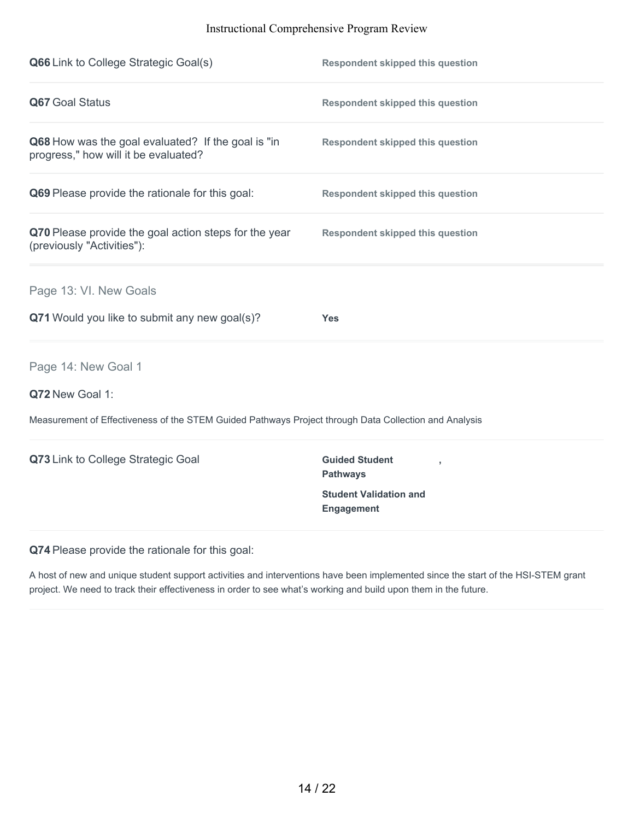| Q66 Link to College Strategic Goal(s)                                                                 | <b>Respondent skipped this question</b>                                                                          |
|-------------------------------------------------------------------------------------------------------|------------------------------------------------------------------------------------------------------------------|
| Q67 Goal Status                                                                                       | <b>Respondent skipped this question</b>                                                                          |
| Q68 How was the goal evaluated? If the goal is "in<br>progress," how will it be evaluated?            | <b>Respondent skipped this question</b>                                                                          |
| Q69 Please provide the rationale for this goal:                                                       | <b>Respondent skipped this question</b>                                                                          |
| Q70 Please provide the goal action steps for the year<br>(previously "Activities"):                   | <b>Respondent skipped this question</b>                                                                          |
| Page 13: VI. New Goals                                                                                |                                                                                                                  |
| Q71 Would you like to submit any new goal(s)?                                                         | <b>Yes</b>                                                                                                       |
| Page 14: New Goal 1                                                                                   |                                                                                                                  |
| Q72 New Goal 1:                                                                                       |                                                                                                                  |
| Measurement of Effectiveness of the STEM Guided Pathways Project through Data Collection and Analysis |                                                                                                                  |
| Q73 Link to College Strategic Goal                                                                    | <b>Guided Student</b><br>$\overline{1}$<br><b>Pathways</b><br><b>Student Validation and</b><br><b>Engagement</b> |
|                                                                                                       |                                                                                                                  |

**Q74** Please provide the rationale for this goal:

A host of new and unique student support activities and interventions have been implemented since the start of the HSI-STEM grant project. We need to track their effectiveness in order to see what's working and build upon them in the future.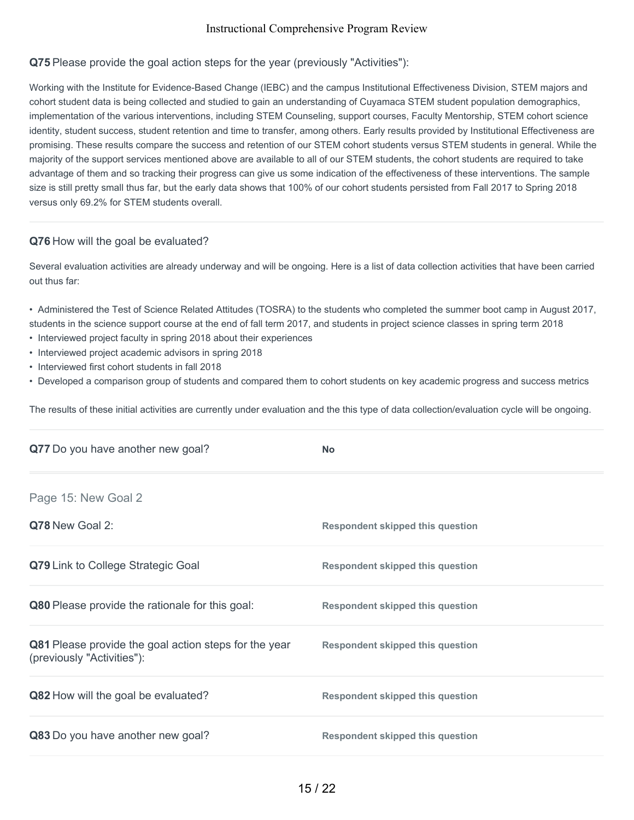## **Q75** Please provide the goal action steps for the year (previously "Activities"):

Working with the Institute for Evidence-Based Change (IEBC) and the campus Institutional Effectiveness Division, STEM majors and cohort student data is being collected and studied to gain an understanding of Cuyamaca STEM student population demographics, implementation of the various interventions, including STEM Counseling, support courses, Faculty Mentorship, STEM cohort science identity, student success, student retention and time to transfer, among others. Early results provided by Institutional Effectiveness are promising. These results compare the success and retention of our STEM cohort students versus STEM students in general. While the majority of the support services mentioned above are available to all of our STEM students, the cohort students are required to take advantage of them and so tracking their progress can give us some indication of the effectiveness of these interventions. The sample size is still pretty small thus far, but the early data shows that 100% of our cohort students persisted from Fall 2017 to Spring 2018 versus only 69.2% for STEM students overall.

### **Q76** How will the goal be evaluated?

Several evaluation activities are already underway and will be ongoing. Here is a list of data collection activities that have been carried out thus far:

- Administered the Test of Science Related Attitudes (TOSRA) to the students who completed the summer boot camp in August 2017, students in the science support course at the end of fall term 2017, and students in project science classes in spring term 2018
- Interviewed project faculty in spring 2018 about their experiences
- Interviewed project academic advisors in spring 2018
- Interviewed first cohort students in fall 2018
- Developed a comparison group of students and compared them to cohort students on key academic progress and success metrics

The results of these initial activities are currently under evaluation and the this type of data collection/evaluation cycle will be ongoing.

| Q77 Do you have another new goal?                                                   | <b>No</b>                               |
|-------------------------------------------------------------------------------------|-----------------------------------------|
| Page 15: New Goal 2                                                                 |                                         |
| Q78 New Goal 2:                                                                     | <b>Respondent skipped this question</b> |
| Q79 Link to College Strategic Goal                                                  | <b>Respondent skipped this question</b> |
| Q80 Please provide the rationale for this goal:                                     | <b>Respondent skipped this question</b> |
| Q81 Please provide the goal action steps for the year<br>(previously "Activities"): | <b>Respondent skipped this question</b> |
| Q82 How will the goal be evaluated?                                                 | <b>Respondent skipped this question</b> |
| Q83 Do you have another new goal?                                                   | <b>Respondent skipped this question</b> |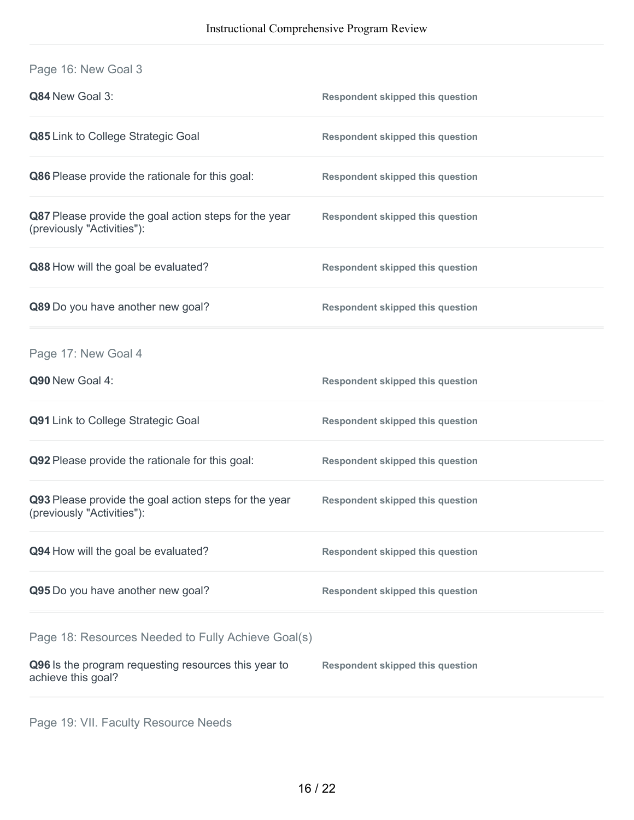| Page 16: New Goal 3                                                                 |                                         |
|-------------------------------------------------------------------------------------|-----------------------------------------|
| Q84 New Goal 3:                                                                     | <b>Respondent skipped this question</b> |
| Q85 Link to College Strategic Goal                                                  | <b>Respondent skipped this question</b> |
| Q86 Please provide the rationale for this goal:                                     | <b>Respondent skipped this question</b> |
| Q87 Please provide the goal action steps for the year<br>(previously "Activities"): | <b>Respondent skipped this question</b> |
| Q88 How will the goal be evaluated?                                                 | <b>Respondent skipped this question</b> |
| Q89 Do you have another new goal?                                                   | <b>Respondent skipped this question</b> |
| Page 17: New Goal 4                                                                 |                                         |
| Q90 New Goal 4:                                                                     | <b>Respondent skipped this question</b> |
| Q91 Link to College Strategic Goal                                                  | <b>Respondent skipped this question</b> |
| Q92 Please provide the rationale for this goal:                                     | <b>Respondent skipped this question</b> |
| Q93 Please provide the goal action steps for the year<br>(previously "Activities"): | <b>Respondent skipped this question</b> |
| Q94 How will the goal be evaluated?                                                 | <b>Respondent skipped this question</b> |
| Q95 Do you have another new goal?                                                   | <b>Respondent skipped this question</b> |
| Page 18: Resources Needed to Fully Achieve Goal(s)                                  |                                         |
| Q96 Is the program requesting resources this year to<br>achieve this goal?          | <b>Respondent skipped this question</b> |
|                                                                                     |                                         |

Page 19: VII. Faculty Resource Needs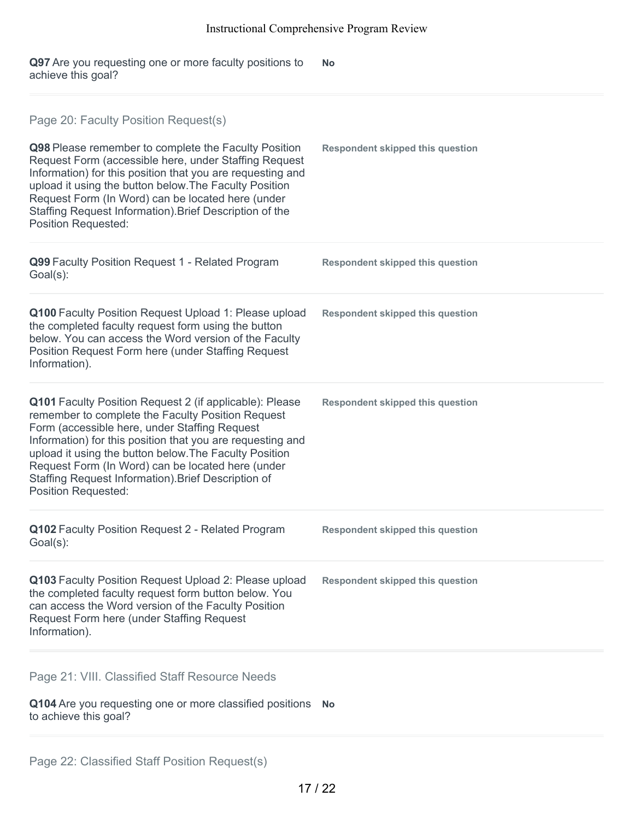**Q97** Are you requesting one or more faculty positions to achieve this goal? **No**

| Page 20: Faculty Position Request(s)<br>Q98 Please remember to complete the Faculty Position<br>Request Form (accessible here, under Staffing Request<br>Information) for this position that you are requesting and<br>upload it using the button below. The Faculty Position<br>Request Form (In Word) can be located here (under<br>Staffing Request Information). Brief Description of the<br><b>Position Requested:</b>            | <b>Respondent skipped this question</b> |
|----------------------------------------------------------------------------------------------------------------------------------------------------------------------------------------------------------------------------------------------------------------------------------------------------------------------------------------------------------------------------------------------------------------------------------------|-----------------------------------------|
| Q99 Faculty Position Request 1 - Related Program<br>Goal(s):                                                                                                                                                                                                                                                                                                                                                                           | <b>Respondent skipped this question</b> |
| Q100 Faculty Position Request Upload 1: Please upload<br>the completed faculty request form using the button<br>below. You can access the Word version of the Faculty<br>Position Request Form here (under Staffing Request<br>Information).                                                                                                                                                                                           | <b>Respondent skipped this question</b> |
| <b>Q101</b> Faculty Position Request 2 (if applicable): Please<br>remember to complete the Faculty Position Request<br>Form (accessible here, under Staffing Request<br>Information) for this position that you are requesting and<br>upload it using the button below. The Faculty Position<br>Request Form (In Word) can be located here (under<br>Staffing Request Information). Brief Description of<br><b>Position Requested:</b> | <b>Respondent skipped this question</b> |
| Q102 Faculty Position Request 2 - Related Program<br>Goal(s):                                                                                                                                                                                                                                                                                                                                                                          | <b>Respondent skipped this question</b> |
| Q103 Faculty Position Request Upload 2: Please upload<br>the completed faculty request form button below. You<br>can access the Word version of the Faculty Position<br>Request Form here (under Staffing Request<br>Information).                                                                                                                                                                                                     | <b>Respondent skipped this question</b> |
| Page 21: VIII. Classified Staff Resource Needs<br>Q104 Are you requesting one or more classified positions<br>to achieve this goal?                                                                                                                                                                                                                                                                                                    | <b>No</b>                               |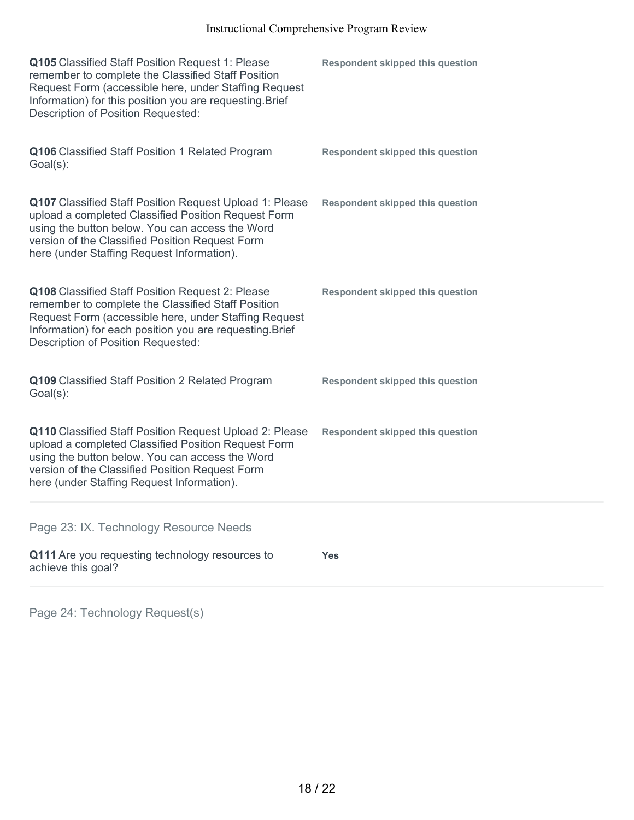| Q105 Classified Staff Position Request 1: Please<br>remember to complete the Classified Staff Position<br>Request Form (accessible here, under Staffing Request<br>Information) for this position you are requesting. Brief<br>Description of Position Requested:  | <b>Respondent skipped this question</b> |
|--------------------------------------------------------------------------------------------------------------------------------------------------------------------------------------------------------------------------------------------------------------------|-----------------------------------------|
| Q106 Classified Staff Position 1 Related Program<br>$Goal(s)$ :                                                                                                                                                                                                    | <b>Respondent skipped this question</b> |
| Q107 Classified Staff Position Request Upload 1: Please<br>upload a completed Classified Position Request Form<br>using the button below. You can access the Word<br>version of the Classified Position Request Form<br>here (under Staffing Request Information). | <b>Respondent skipped this question</b> |
| Q108 Classified Staff Position Request 2: Please<br>remember to complete the Classified Staff Position<br>Request Form (accessible here, under Staffing Request<br>Information) for each position you are requesting. Brief<br>Description of Position Requested:  | <b>Respondent skipped this question</b> |
| Q109 Classified Staff Position 2 Related Program<br>$Goal(s)$ :                                                                                                                                                                                                    | <b>Respondent skipped this question</b> |
| Q110 Classified Staff Position Request Upload 2: Please<br>upload a completed Classified Position Request Form<br>using the button below. You can access the Word<br>version of the Classified Position Request Form<br>here (under Staffing Request Information). | <b>Respondent skipped this question</b> |
| Page 23: IX. Technology Resource Needs                                                                                                                                                                                                                             |                                         |
| Q111 Are you requesting technology resources to<br>achieve this goal?                                                                                                                                                                                              | <b>Yes</b>                              |
|                                                                                                                                                                                                                                                                    |                                         |

Page 24: Technology Request(s)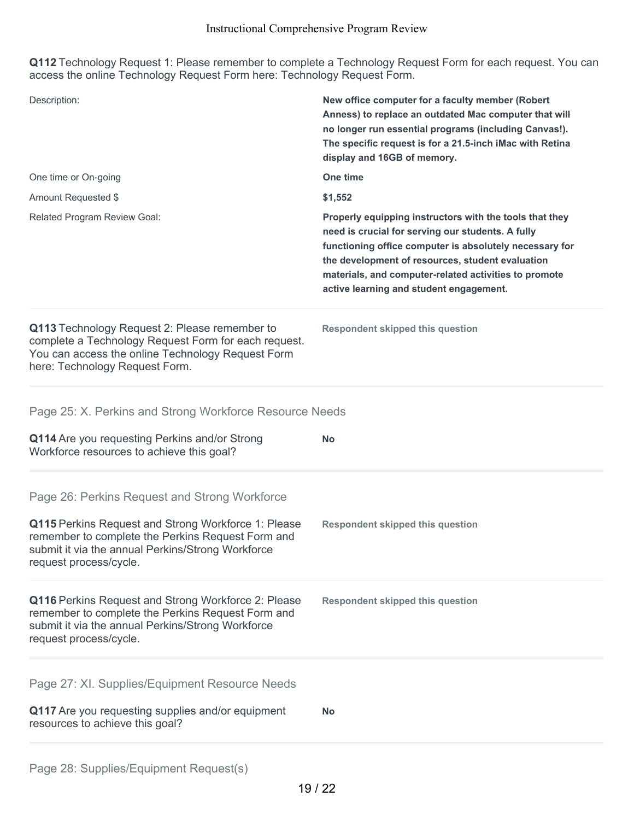**Q112** Technology Request 1: Please remember to complete a Technology Request Form for each request. You can access the online Technology Request Form here: Technology Request Form.

| Description:                                                                                                                                                                                                                             | New office computer for a faculty member (Robert<br>Anness) to replace an outdated Mac computer that will<br>no longer run essential programs (including Canvas!).<br>The specific request is for a 21.5-inch iMac with Retina<br>display and 16GB of memory.                                                                   |
|------------------------------------------------------------------------------------------------------------------------------------------------------------------------------------------------------------------------------------------|---------------------------------------------------------------------------------------------------------------------------------------------------------------------------------------------------------------------------------------------------------------------------------------------------------------------------------|
| One time or On-going                                                                                                                                                                                                                     | One time                                                                                                                                                                                                                                                                                                                        |
| Amount Requested \$                                                                                                                                                                                                                      | \$1,552                                                                                                                                                                                                                                                                                                                         |
| Related Program Review Goal:                                                                                                                                                                                                             | Properly equipping instructors with the tools that they<br>need is crucial for serving our students. A fully<br>functioning office computer is absolutely necessary for<br>the development of resources, student evaluation<br>materials, and computer-related activities to promote<br>active learning and student engagement. |
| Q113 Technology Request 2: Please remember to<br>complete a Technology Request Form for each request.<br>You can access the online Technology Request Form<br>here: Technology Request Form.                                             | <b>Respondent skipped this question</b>                                                                                                                                                                                                                                                                                         |
| Page 25: X. Perkins and Strong Workforce Resource Needs                                                                                                                                                                                  |                                                                                                                                                                                                                                                                                                                                 |
| Q114 Are you requesting Perkins and/or Strong<br>Workforce resources to achieve this goal?                                                                                                                                               | <b>No</b>                                                                                                                                                                                                                                                                                                                       |
| Page 26: Perkins Request and Strong Workforce<br>Q115 Perkins Request and Strong Workforce 1: Please<br>remember to complete the Perkins Request Form and<br>submit it via the annual Perkins/Strong Workforce<br>request process/cycle. | <b>Respondent skipped this question</b>                                                                                                                                                                                                                                                                                         |
| Q116 Perkins Request and Strong Workforce 2: Please<br>remember to complete the Perkins Request Form and<br>submit it via the annual Perkins/Strong Workforce<br>request process/cycle.                                                  | <b>Respondent skipped this question</b>                                                                                                                                                                                                                                                                                         |
| Page 27: XI. Supplies/Equipment Resource Needs<br>Q117 Are you requesting supplies and/or equipment<br>resources to achieve this goal?                                                                                                   | No                                                                                                                                                                                                                                                                                                                              |
|                                                                                                                                                                                                                                          |                                                                                                                                                                                                                                                                                                                                 |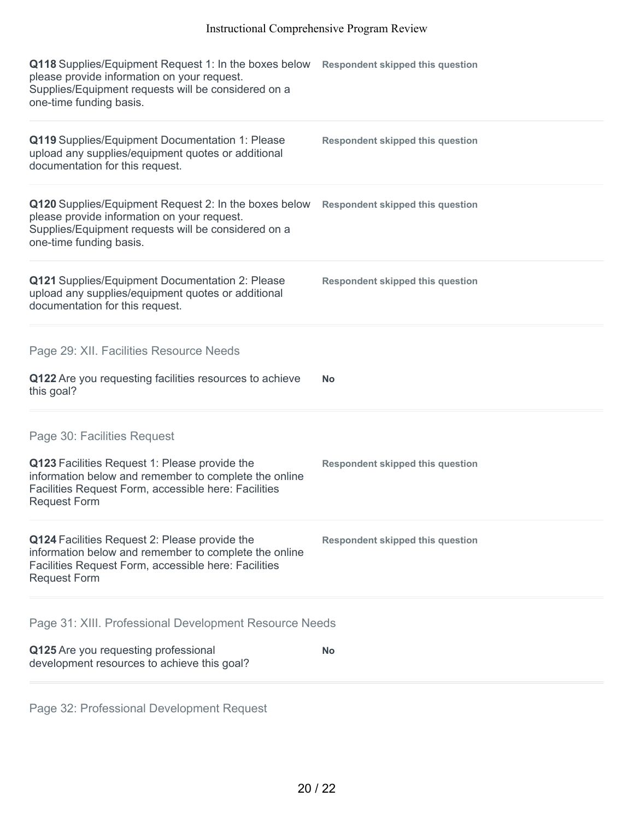| Q118 Supplies/Equipment Request 1: In the boxes below<br>please provide information on your request.<br>Supplies/Equipment requests will be considered on a<br>one-time funding basis. | <b>Respondent skipped this question</b> |
|----------------------------------------------------------------------------------------------------------------------------------------------------------------------------------------|-----------------------------------------|
| Q119 Supplies/Equipment Documentation 1: Please<br>upload any supplies/equipment quotes or additional<br>documentation for this request.                                               | <b>Respondent skipped this question</b> |
| Q120 Supplies/Equipment Request 2: In the boxes below<br>please provide information on your request.<br>Supplies/Equipment requests will be considered on a<br>one-time funding basis. | <b>Respondent skipped this question</b> |
| Q121 Supplies/Equipment Documentation 2: Please<br>upload any supplies/equipment quotes or additional<br>documentation for this request.                                               | <b>Respondent skipped this question</b> |
| Page 29: XII. Facilities Resource Needs                                                                                                                                                |                                         |
| Q122 Are you requesting facilities resources to achieve<br>this goal?                                                                                                                  | <b>No</b>                               |
| Page 30: Facilities Request                                                                                                                                                            |                                         |
| Q123 Facilities Request 1: Please provide the<br>information below and remember to complete the online<br>Facilities Request Form, accessible here: Facilities<br><b>Request Form</b>  | <b>Respondent skipped this question</b> |
| Q124 Facilities Request 2: Please provide the<br>information below and remember to complete the online<br>Facilities Request Form, accessible here: Facilities<br><b>Request Form</b>  | <b>Respondent skipped this question</b> |
| Page 31: XIII. Professional Development Resource Needs                                                                                                                                 |                                         |
| Q125 Are you requesting professional<br>development resources to achieve this goal?                                                                                                    | <b>No</b>                               |

Page 32: Professional Development Request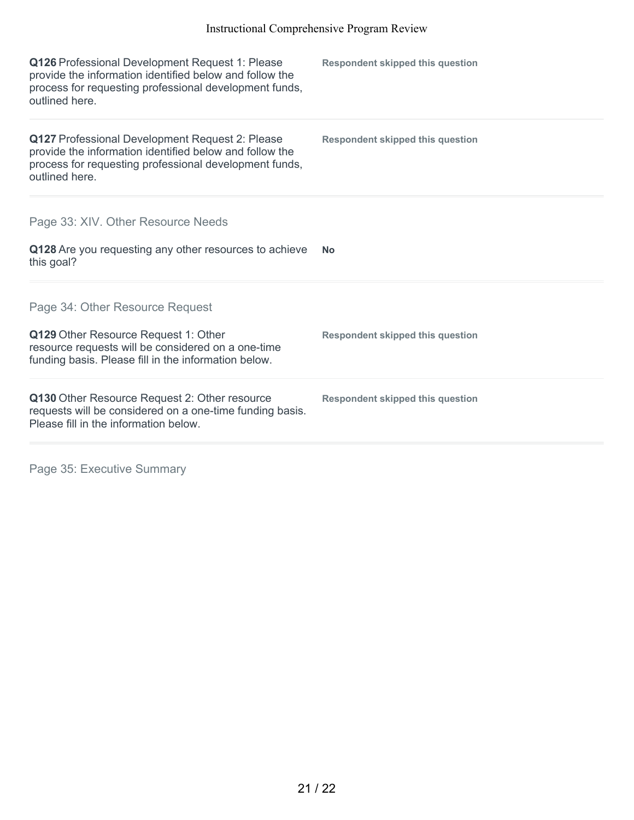| Q126 Professional Development Request 1: Please<br>provide the information identified below and follow the<br>process for requesting professional development funds,<br>outlined here. | <b>Respondent skipped this question</b> |
|----------------------------------------------------------------------------------------------------------------------------------------------------------------------------------------|-----------------------------------------|
| Q127 Professional Development Request 2: Please<br>provide the information identified below and follow the<br>process for requesting professional development funds,<br>outlined here. | <b>Respondent skipped this question</b> |
| Page 33: XIV. Other Resource Needs<br>Q128 Are you requesting any other resources to achieve<br>this goal?                                                                             | <b>No</b>                               |
| Page 34: Other Resource Request<br>Q129 Other Resource Request 1: Other<br>resource requests will be considered on a one-time<br>funding basis. Please fill in the information below.  | <b>Respondent skipped this question</b> |
| Q130 Other Resource Request 2: Other resource<br>requests will be considered on a one-time funding basis.<br>Please fill in the information below.                                     | <b>Respondent skipped this question</b> |

Page 35: Executive Summary